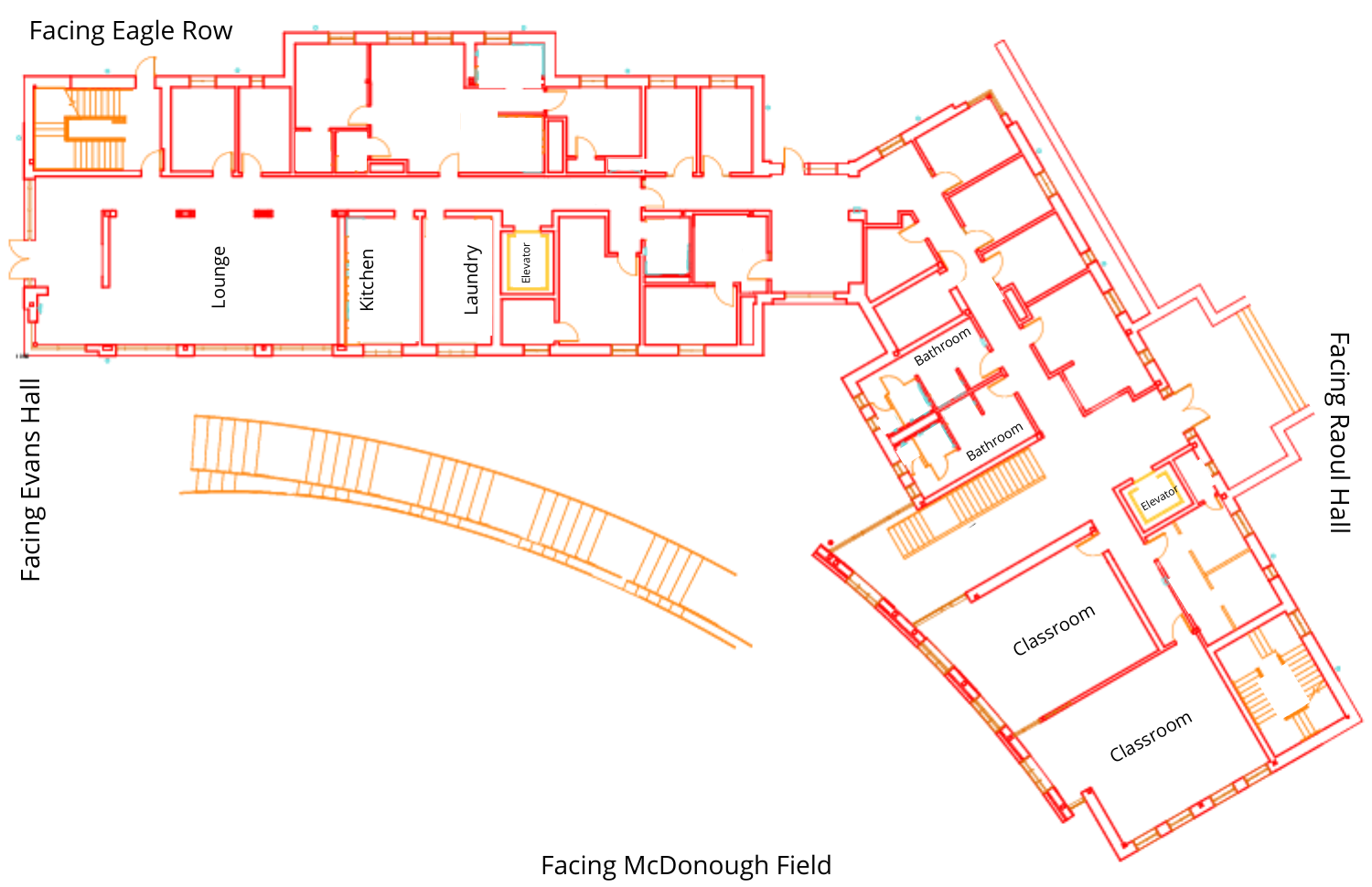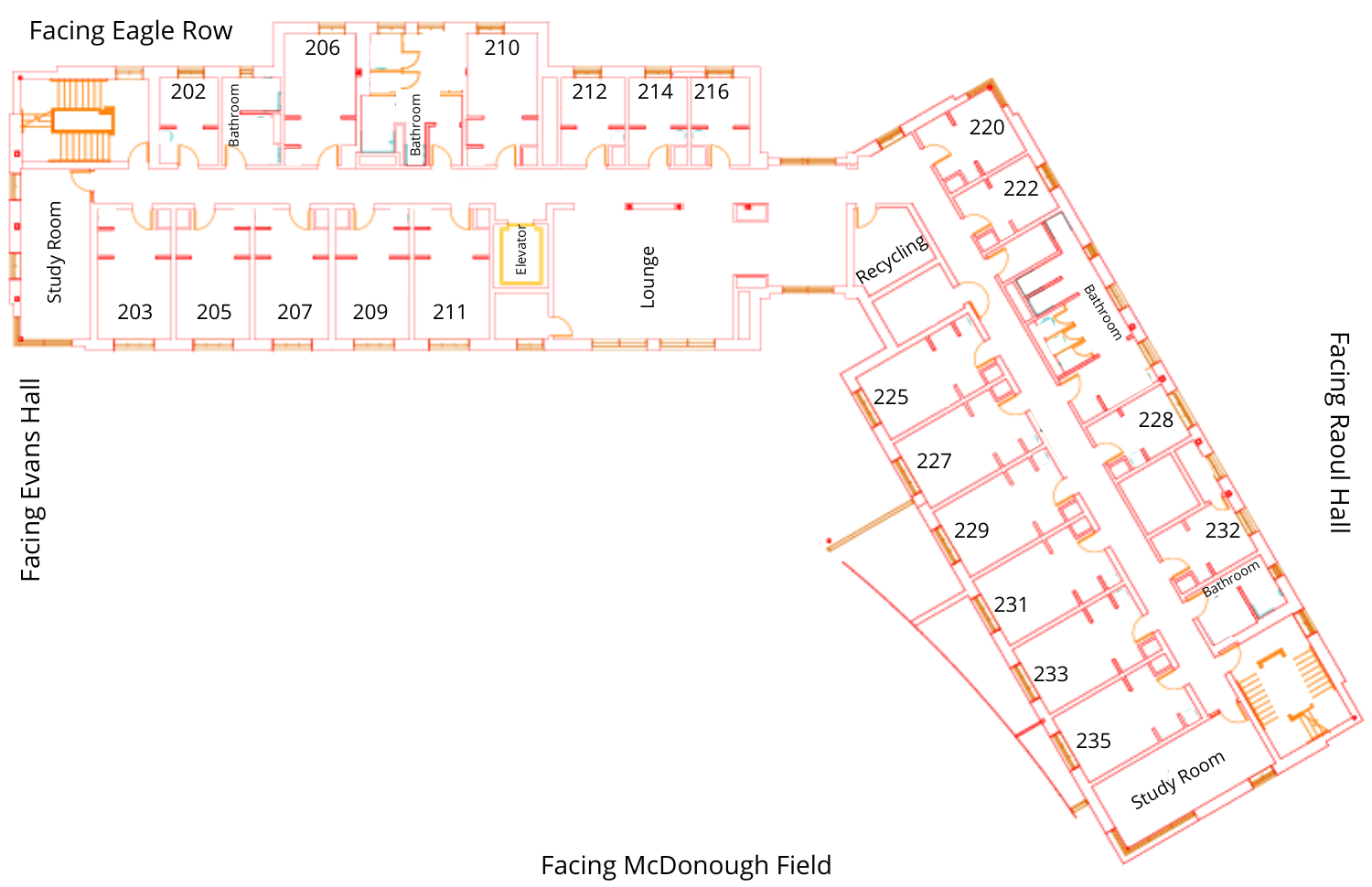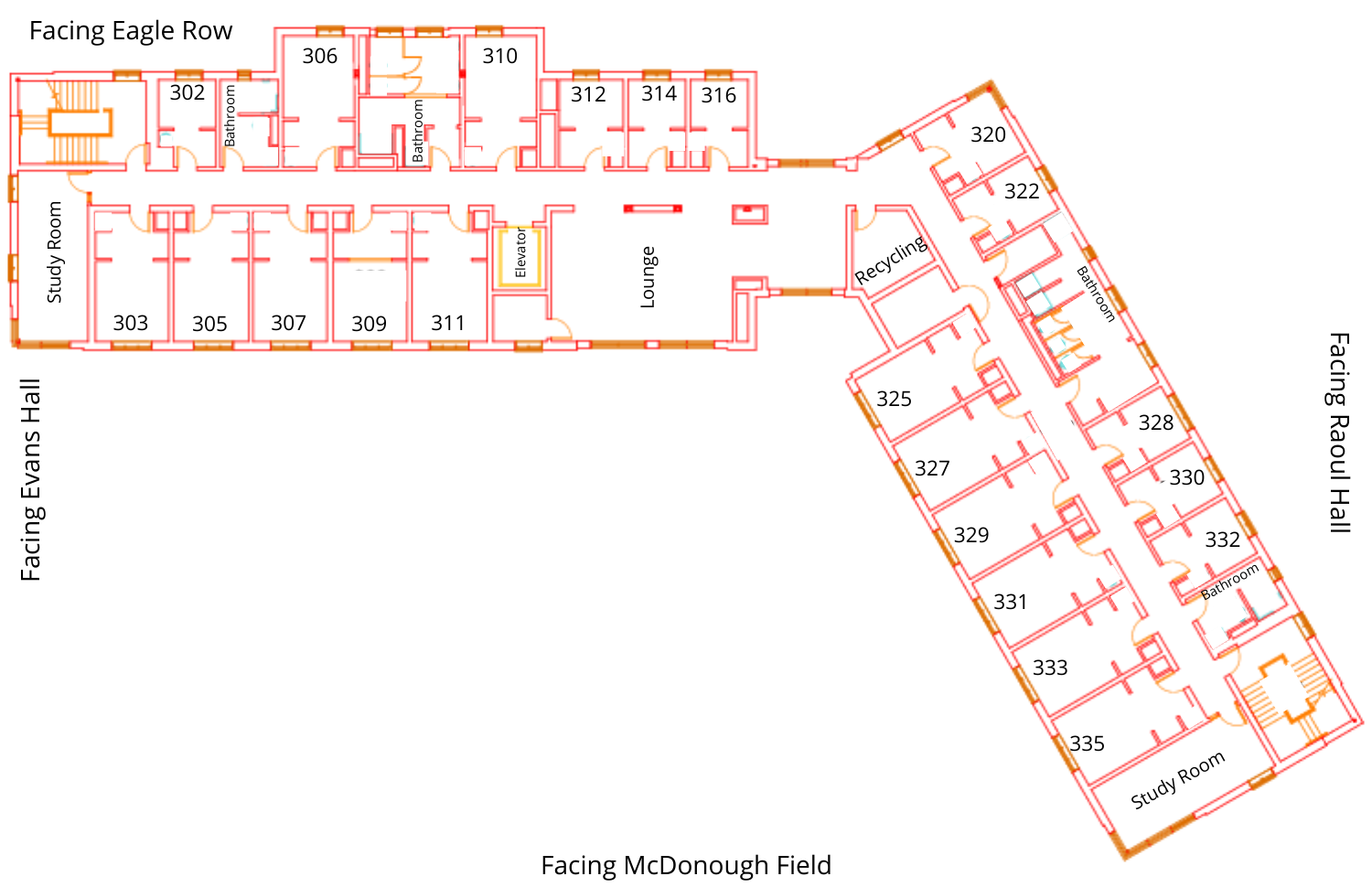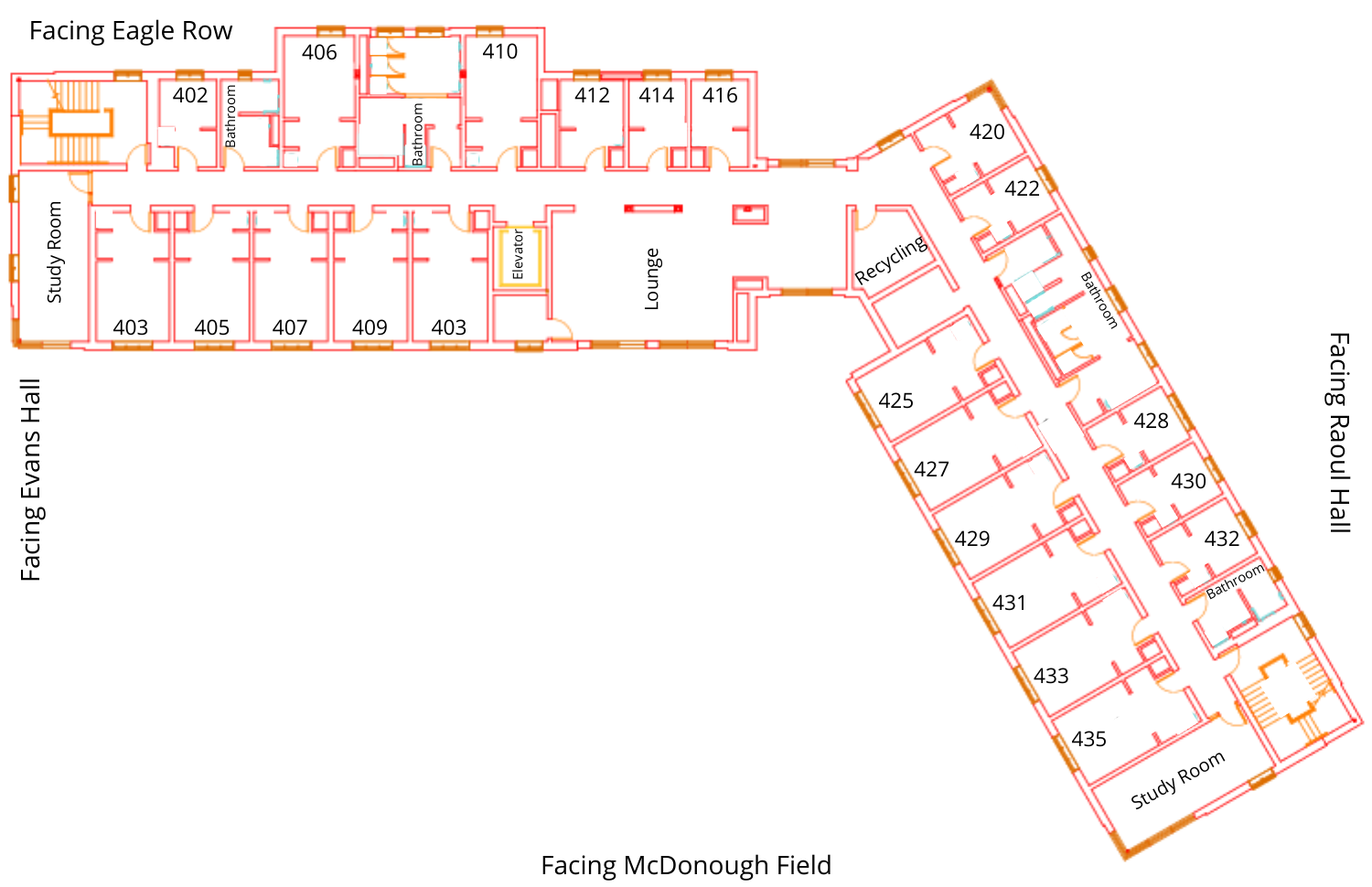